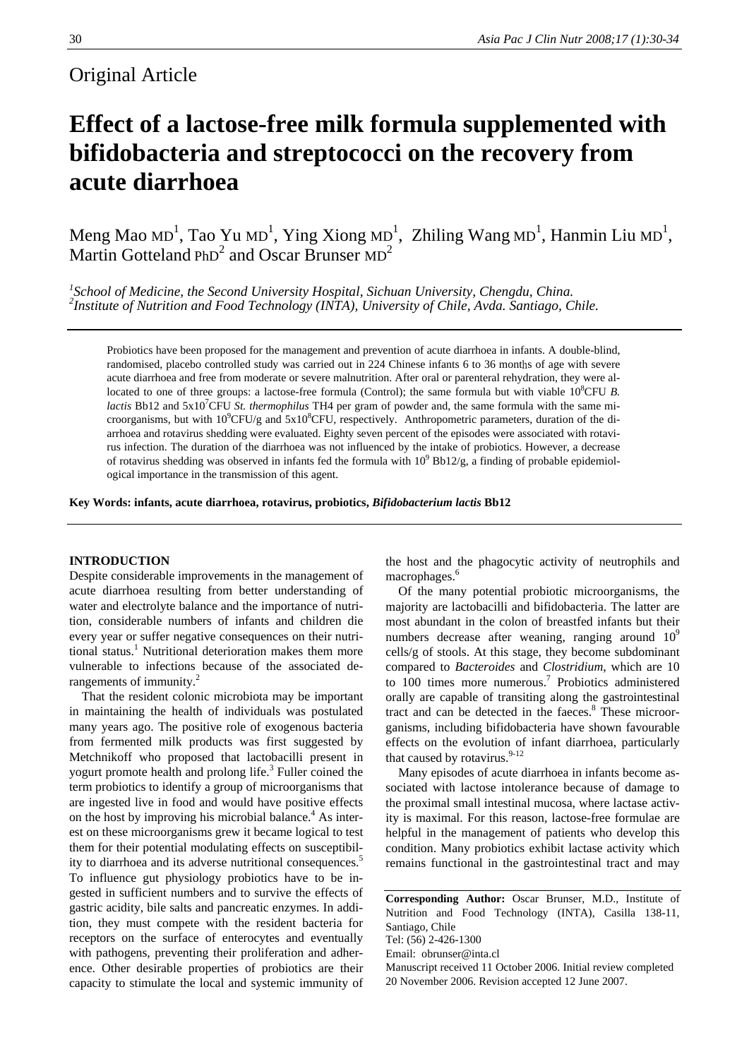# Original Article

# **Effect of a lactose-free milk formula supplemented with bifidobacteria and streptococci on the recovery from acute diarrhoea**

Meng Mao MD<sup>1</sup>, Tao Yu MD<sup>1</sup>, Ying Xiong MD<sup>1</sup>, Zhiling Wang MD<sup>1</sup>, Hanmin Liu MD<sup>1</sup>, Martin Gotteland  $PhD<sup>2</sup>$  and Oscar Brunser  $MD<sup>2</sup>$ 

<sup>1</sup><br>
<sup>2</sup> School of Medicine, the Second University Hospital, Sichuan University, Chengdu, China.<br>
<sup>2</sup> Institute of Nutrition and Each Technology (NTA), University of Chile, Ayda, Santiago, C *Institute of Nutrition and Food Technology (INTA), University of Chile, Avda. Santiago, Chile.* 

Probiotics have been proposed for the management and prevention of acute diarrhoea in infants. A double-blind, randomised, placebo controlled study was carried out in 224 Chinese infants 6 to 36 months of age with severe acute diarrhoea and free from moderate or severe malnutrition. After oral or parenteral rehydration, they were allocated to one of three groups: a lactose-free formula (Control); the same formula but with viable 10<sup>8</sup>CFU B. *lactis* Bb12 and 5x10<sup>7</sup>CFU *St. thermophilus* TH4 per gram of powder and, the same formula with the same microorganisms, but with  $10^9$ CFU/g and  $5x10^8$ CFU, respectively. Anthropometric parameters, duration of the diarrhoea and rotavirus shedding were evaluated. Eighty seven percent of the episodes were associated with rotavirus infection. The duration of the diarrhoea was not influenced by the intake of probiotics. However, a decrease of rotavirus shedding was observed in infants fed the formula with  $10^9$  Bb12/g, a finding of probable epidemiological importance in the transmission of this agent.

**Key Words: infants, acute diarrhoea, rotavirus, probiotics,** *Bifidobacterium lactis* **Bb12** 

# **INTRODUCTION**

Despite considerable improvements in the management of acute diarrhoea resulting from better understanding of water and electrolyte balance and the importance of nutrition, considerable numbers of infants and children die every year or suffer negative consequences on their nutritional status.<sup>1</sup> Nutritional deterioration makes them more vulnerable to infections because of the associated derangements of immunity.<sup>2</sup>

That the resident colonic microbiota may be important in maintaining the health of individuals was postulated many years ago. The positive role of exogenous bacteria from fermented milk products was first suggested by Metchnikoff who proposed that lactobacilli present in yogurt promote health and prolong life.<sup>3</sup> Fuller coined the term probiotics to identify a group of microorganisms that are ingested live in food and would have positive effects on the host by improving his microbial balance.<sup>4</sup> As interest on these microorganisms grew it became logical to test them for their potential modulating effects on susceptibility to diarrhoea and its adverse nutritional consequences.<sup>5</sup> To influence gut physiology probiotics have to be ingested in sufficient numbers and to survive the effects of gastric acidity, bile salts and pancreatic enzymes. In addition, they must compete with the resident bacteria for receptors on the surface of enterocytes and eventually with pathogens, preventing their proliferation and adherence. Other desirable properties of probiotics are their capacity to stimulate the local and systemic immunity of

the host and the phagocytic activity of neutrophils and macrophages.<sup>6</sup>

Of the many potential probiotic microorganisms, the majority are lactobacilli and bifidobacteria. The latter are most abundant in the colon of breastfed infants but their numbers decrease after weaning, ranging around  $10^9$ cells/g of stools. At this stage, they become subdominant compared to *Bacteroides* and *Clostridium*, which are 10 to 100 times more numerous.<sup>7</sup> Probiotics administered orally are capable of transiting along the gastrointestinal tract and can be detected in the faeces.<sup>8</sup> These microorganisms, including bifidobacteria have shown favourable effects on the evolution of infant diarrhoea, particularly that caused by rotavirus.<sup>9-12</sup>

Many episodes of acute diarrhoea in infants become associated with lactose intolerance because of damage to the proximal small intestinal mucosa, where lactase activity is maximal. For this reason, lactose-free formulae are helpful in the management of patients who develop this condition. Many probiotics exhibit lactase activity which remains functional in the gastrointestinal tract and may

**Corresponding Author:** Oscar Brunser, M.D., Institute of Nutrition and Food Technology (INTA), Casilla 138-11, Santiago, Chile Tel: (56) 2-426-1300

Email: obrunser@inta.cl

Manuscript received 11 October 2006. Initial review completed 20 November 2006. Revision accepted 12 June 2007.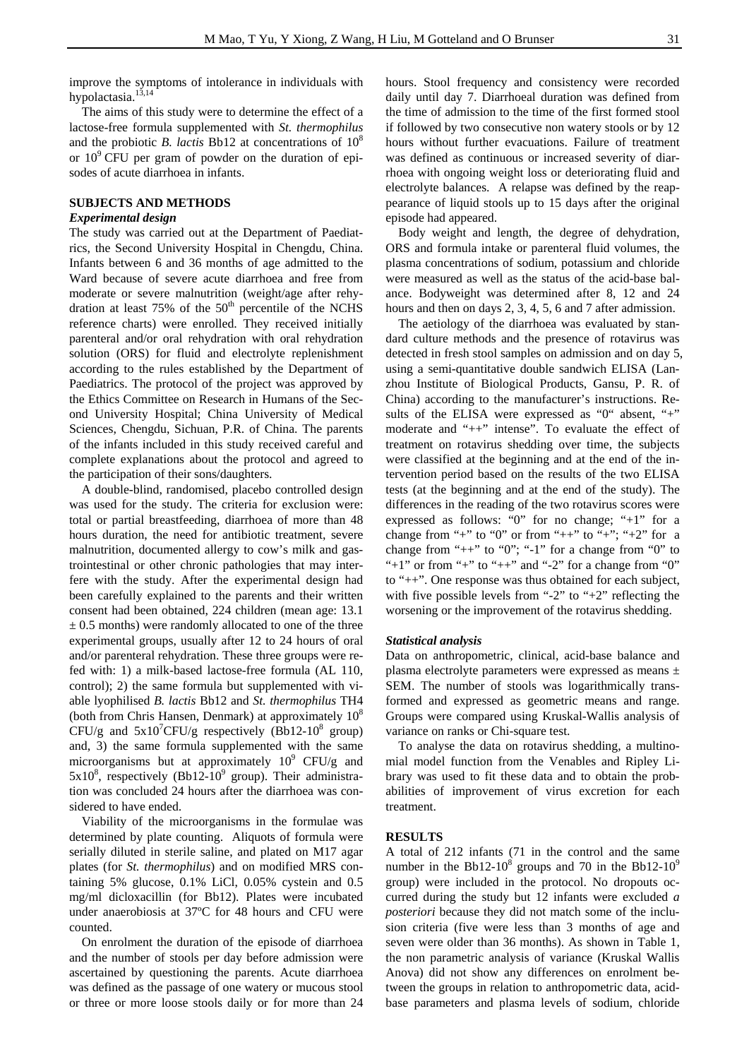improve the symptoms of intolerance in individuals with hypolactasia.<sup>13,14</sup>

The aims of this study were to determine the effect of a lactose-free formula supplemented with *St. thermophilus* and the probiotic *B. lactis* Bb12 at concentrations of 10<sup>8</sup> or  $10^9$  CFU per gram of powder on the duration of episodes of acute diarrhoea in infants.

## **SUBJECTS AND METHODS**

### *Experimental design*

The study was carried out at the Department of Paediatrics, the Second University Hospital in Chengdu, China. Infants between 6 and 36 months of age admitted to the Ward because of severe acute diarrhoea and free from moderate or severe malnutrition (weight/age after rehydration at least  $75\%$  of the  $50<sup>th</sup>$  percentile of the NCHS reference charts) were enrolled. They received initially parenteral and/or oral rehydration with oral rehydration solution (ORS) for fluid and electrolyte replenishment according to the rules established by the Department of Paediatrics. The protocol of the project was approved by the Ethics Committee on Research in Humans of the Second University Hospital; China University of Medical Sciences, Chengdu, Sichuan, P.R. of China. The parents of the infants included in this study received careful and complete explanations about the protocol and agreed to the participation of their sons/daughters.

A double-blind, randomised, placebo controlled design was used for the study. The criteria for exclusion were: total or partial breastfeeding, diarrhoea of more than 48 hours duration, the need for antibiotic treatment, severe malnutrition, documented allergy to cow's milk and gastrointestinal or other chronic pathologies that may interfere with the study. After the experimental design had been carefully explained to the parents and their written consent had been obtained, 224 children (mean age: 13.1  $\pm$  0.5 months) were randomly allocated to one of the three experimental groups, usually after 12 to 24 hours of oral and/or parenteral rehydration. These three groups were refed with: 1) a milk-based lactose-free formula (AL 110, control); 2) the same formula but supplemented with viable lyophilised *B. lactis* Bb12 and *St. thermophilus* TH4 (both from Chris Hansen, Denmark) at approximately  $10^8$ CFU/g and  $5x10^7$ CFU/g respectively (Bb12-10<sup>8</sup> group) and, 3) the same formula supplemented with the same microorganisms but at approximately  $10^9$  CFU/g and  $5x10<sup>8</sup>$ , respectively (Bb12-10<sup>9</sup> group). Their administration was concluded 24 hours after the diarrhoea was considered to have ended.

Viability of the microorganisms in the formulae was determined by plate counting. Aliquots of formula were serially diluted in sterile saline, and plated on M17 agar plates (for *St. thermophilus*) and on modified MRS containing 5% glucose, 0.1% LiCl, 0.05% cystein and 0.5 mg/ml dicloxacillin (for Bb12). Plates were incubated under anaerobiosis at 37ºC for 48 hours and CFU were counted.

On enrolment the duration of the episode of diarrhoea and the number of stools per day before admission were ascertained by questioning the parents. Acute diarrhoea was defined as the passage of one watery or mucous stool or three or more loose stools daily or for more than 24

hours. Stool frequency and consistency were recorded daily until day 7. Diarrhoeal duration was defined from the time of admission to the time of the first formed stool if followed by two consecutive non watery stools or by 12 hours without further evacuations. Failure of treatment was defined as continuous or increased severity of diarrhoea with ongoing weight loss or deteriorating fluid and electrolyte balances. A relapse was defined by the reappearance of liquid stools up to 15 days after the original episode had appeared.

Body weight and length, the degree of dehydration, ORS and formula intake or parenteral fluid volumes, the plasma concentrations of sodium, potassium and chloride were measured as well as the status of the acid-base balance. Bodyweight was determined after 8, 12 and 24 hours and then on days 2, 3, 4, 5, 6 and 7 after admission.

The aetiology of the diarrhoea was evaluated by standard culture methods and the presence of rotavirus was detected in fresh stool samples on admission and on day 5, using a semi-quantitative double sandwich ELISA (Lanzhou Institute of Biological Products, Gansu, P. R. of China) according to the manufacturer's instructions. Results of the ELISA were expressed as "0" absent, "+" moderate and "++" intense". To evaluate the effect of treatment on rotavirus shedding over time, the subjects were classified at the beginning and at the end of the intervention period based on the results of the two ELISA tests (at the beginning and at the end of the study). The differences in the reading of the two rotavirus scores were expressed as follows: "0" for no change; "+1" for a change from "+" to "0" or from "++" to "+"; "+2" for a change from " $++$ " to "0"; "-1" for a change from "0" to "+1" or from "+" to "++" and "-2" for a change from "0" to "++". One response was thus obtained for each subject, with five possible levels from "-2" to "+2" reflecting the worsening or the improvement of the rotavirus shedding.

### *Statistical analysis*

Data on anthropometric, clinical, acid-base balance and plasma electrolyte parameters were expressed as means ± SEM. The number of stools was logarithmically transformed and expressed as geometric means and range. Groups were compared using Kruskal-Wallis analysis of variance on ranks or Chi-square test.

To analyse the data on rotavirus shedding, a multinomial model function from the Venables and Ripley Library was used to fit these data and to obtain the probabilities of improvement of virus excretion for each treatment.

## **RESULTS**

A total of 212 infants (71 in the control and the same number in the Bb12-10<sup>8</sup> groups and 70 in the Bb12-10<sup>9</sup> group) were included in the protocol. No dropouts occurred during the study but 12 infants were excluded *a posteriori* because they did not match some of the inclusion criteria (five were less than 3 months of age and seven were older than 36 months). As shown in Table 1, the non parametric analysis of variance (Kruskal Wallis Anova) did not show any differences on enrolment between the groups in relation to anthropometric data, acidbase parameters and plasma levels of sodium, chloride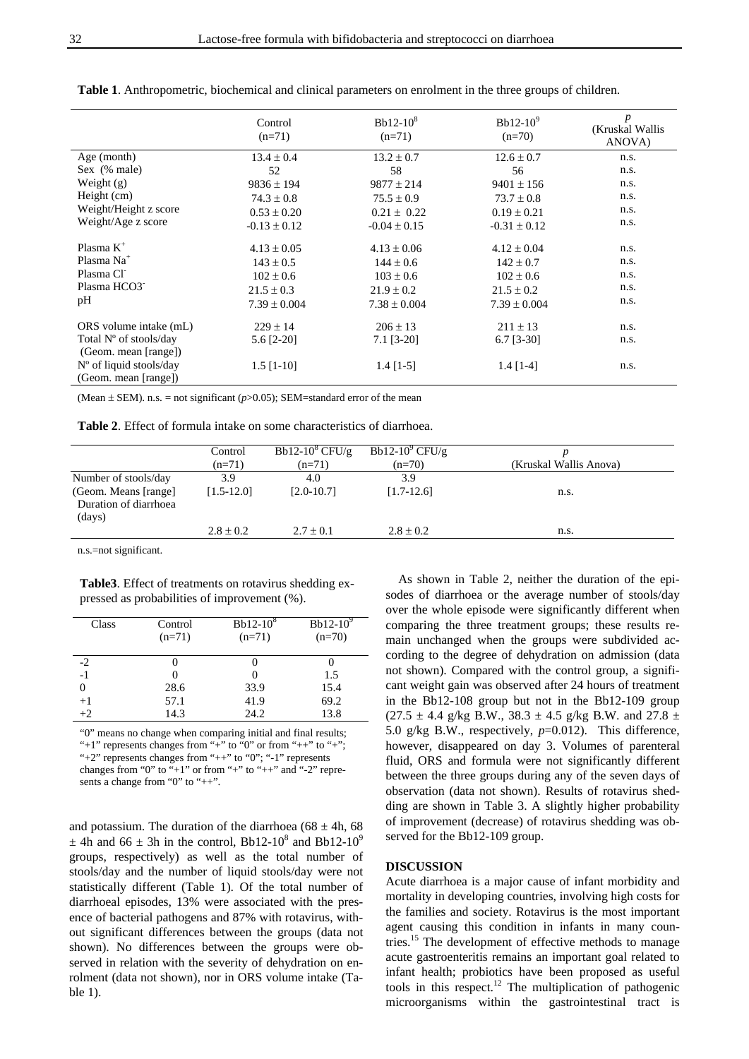|                         | Control<br>$(n=71)$ | $Bb12-10^8$<br>$(n=71)$ | Bb12- $10^9$<br>$(n=70)$ | $\boldsymbol{p}$<br>(Kruskal Wallis<br>ANOVA) |
|-------------------------|---------------------|-------------------------|--------------------------|-----------------------------------------------|
| Age (month)             | $13.4 \pm 0.4$      | $13.2 \pm 0.7$          | $12.6 \pm 0.7$           | n.s.                                          |
| Sex (% male)            | 52                  | 58                      | 56                       | n.s.                                          |
| Weight (g)              | $9836 \pm 194$      | $9877 \pm 214$          | $9401 \pm 156$           | n.s.                                          |
| Height (cm)             | $74.3 \pm 0.8$      | $75.5 \pm 0.9$          | $73.7 \pm 0.8$           | n.s.                                          |
| Weight/Height z score   | $0.53 \pm 0.20$     | $0.21 \pm 0.22$         | $0.19 \pm 0.21$          | n.s.                                          |
| Weight/Age z score      | $-0.13 \pm 0.12$    | $-0.04 \pm 0.15$        | $-0.31 \pm 0.12$         | n.s.                                          |
| Plasma $K^+$            | $4.13 \pm 0.05$     | $4.13 \pm 0.06$         | $4.12 \pm 0.04$          | n.s.                                          |
| Plasma Na <sup>+</sup>  | $143 \pm 0.5$       | $144 \pm 0.6$           | $142 \pm 0.7$            | n.s.                                          |
| Plasma Cl               | $102 \pm 0.6$       | $103 \pm 0.6$           | $102 \pm 0.6$            | n.s.                                          |
| Plasma HCO3             | $21.5 \pm 0.3$      | $21.9 \pm 0.2$          | $21.5 \pm 0.2$           | n.s.                                          |
| pH                      | $7.39 \pm 0.004$    | $7.38 \pm 0.004$        | $7.39 \pm 0.004$         | n.s.                                          |
| ORS volume intake (mL)  | $229 \pm 14$        | $206 \pm 13$            | $211 \pm 13$             | n.s.                                          |
| Total N° of stools/day  | 5.6 [2-20]          | $7.1$ [3-20]            | $6.7$ [3-30]             | n.s.                                          |
| (Geom. mean [range])    |                     |                         |                          |                                               |
| N° of liquid stools/day | $1.5$ [1-10]        | $1.4$ [1-5]             | $1.4$ [1-4]              | n.s.                                          |
| (Geom. mean [range])    |                     |                         |                          |                                               |

**Table 1**. Anthropometric, biochemical and clinical parameters on enrolment in the three groups of children.

(Mean  $\pm$  SEM). n.s. = not significant ( $p$ >0.05); SEM=standard error of the mean

|  |  | <b>Table 2.</b> Effect of formula intake on some characteristics of diarrhoea. |  |
|--|--|--------------------------------------------------------------------------------|--|
|--|--|--------------------------------------------------------------------------------|--|

|                                                         | Control        | Bb12-10 $^{\circ}$ CFU/g | Bb12-10 $^9$ CFU/g |                        |
|---------------------------------------------------------|----------------|--------------------------|--------------------|------------------------|
|                                                         | $(n=71)$       | $(n=71)$                 | $(n=70)$           | (Kruskal Wallis Anova) |
| Number of stools/day                                    | 3.9            | 4.0                      | 3.9                |                        |
| (Geom. Means [range]<br>Duration of diarrhoea<br>(days) | $[1.5 - 12.0]$ | $[2.0 - 10.7]$           | $[1.7-12.6]$       | n.s.                   |
|                                                         | $2.8 \pm 0.2$  | $2.7 \pm 0.1$            | $2.8 \pm 0.2$      | n.s.                   |
|                                                         |                |                          |                    |                        |

n.s.=not significant.

**Table3**. Effect of treatments on rotavirus shedding expressed as probabilities of improvement (%).

| Class | Control<br>$(n=71)$ | $Bb12-10^8$<br>$(n=71)$ | Bb12- $10^9$<br>$(n=70)$ |
|-------|---------------------|-------------------------|--------------------------|
| $-2$  |                     |                         |                          |
| $-1$  |                     |                         | 1.5                      |
| 0     | 28.6                | 33.9                    | 15.4                     |
| $+1$  | 57.1                | 41.9                    | 69.2                     |
| $+2$  | 14.3                | 24.2                    | 13.8                     |

"0" means no change when comparing initial and final results; "+1" represents changes from "+" to "0" or from "++" to "+"; "+2" represents changes from "++" to "0"; "-1" represents changes from "0" to "+1" or from "+" to "++" and "-2" represents a change from "0" to "++".

and potassium. The duration of the diarrhoea ( $68 \pm 4$ h,  $68$ )  $\pm$  4h and 66  $\pm$  3h in the control, Bb12-10<sup>8</sup> and Bb12-10<sup>9</sup> groups, respectively) as well as the total number of stools/day and the number of liquid stools/day were not statistically different (Table 1). Of the total number of diarrhoeal episodes, 13% were associated with the presence of bacterial pathogens and 87% with rotavirus, without significant differences between the groups (data not shown). No differences between the groups were observed in relation with the severity of dehydration on enrolment (data not shown), nor in ORS volume intake (Table 1).

As shown in Table 2, neither the duration of the episodes of diarrhoea or the average number of stools/day over the whole episode were significantly different when comparing the three treatment groups; these results remain unchanged when the groups were subdivided according to the degree of dehydration on admission (data not shown). Compared with the control group, a significant weight gain was observed after 24 hours of treatment in the Bb12-108 group but not in the Bb12-109 group  $(27.5 \pm 4.4 \text{ g/kg } B.W., 38.3 \pm 4.5 \text{ g/kg } B.W. \text{ and } 27.8 \pm 1.5 \text{ g/kg } B.W.$ 5.0 g/kg B.W., respectively, *p*=0.012). This difference, however, disappeared on day 3. Volumes of parenteral fluid, ORS and formula were not significantly different between the three groups during any of the seven days of observation (data not shown). Results of rotavirus shedding are shown in Table 3. A slightly higher probability of improvement (decrease) of rotavirus shedding was observed for the Bb12-109 group.

# **DISCUSSION**

Acute diarrhoea is a major cause of infant morbidity and mortality in developing countries, involving high costs for the families and society. Rotavirus is the most important agent causing this condition in infants in many countries.15 The development of effective methods to manage acute gastroenteritis remains an important goal related to infant health; probiotics have been proposed as useful tools in this respect.12 The multiplication of pathogenic microorganisms within the gastrointestinal tract is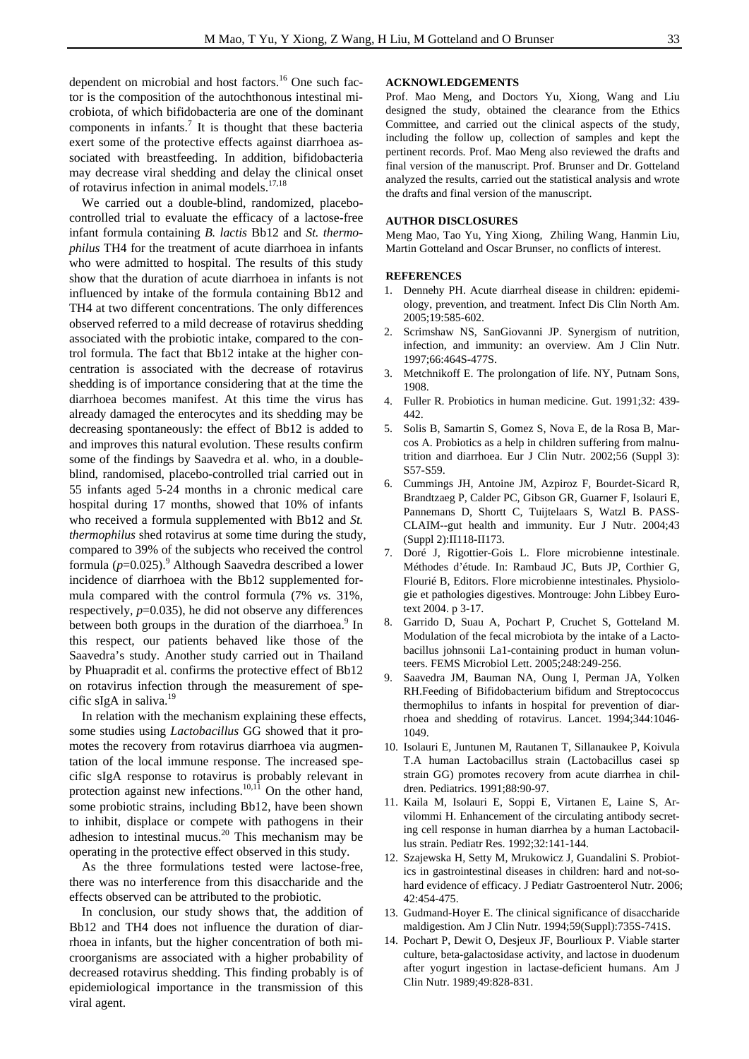dependent on microbial and host factors.<sup>16</sup> One such factor is the composition of the autochthonous intestinal microbiota, of which bifidobacteria are one of the dominant components in infants.<sup>7</sup> It is thought that these bacteria exert some of the protective effects against diarrhoea associated with breastfeeding. In addition, bifidobacteria may decrease viral shedding and delay the clinical onset of rotavirus infection in animal models.17,18

We carried out a double-blind, randomized, placebocontrolled trial to evaluate the efficacy of a lactose-free infant formula containing *B. lactis* Bb12 and *St. thermophilus* TH4 for the treatment of acute diarrhoea in infants who were admitted to hospital. The results of this study show that the duration of acute diarrhoea in infants is not influenced by intake of the formula containing Bb12 and TH4 at two different concentrations. The only differences observed referred to a mild decrease of rotavirus shedding associated with the probiotic intake, compared to the control formula. The fact that Bb12 intake at the higher concentration is associated with the decrease of rotavirus shedding is of importance considering that at the time the diarrhoea becomes manifest. At this time the virus has already damaged the enterocytes and its shedding may be decreasing spontaneously: the effect of Bb12 is added to and improves this natural evolution. These results confirm some of the findings by Saavedra et al. who, in a doubleblind, randomised, placebo-controlled trial carried out in 55 infants aged 5-24 months in a chronic medical care hospital during 17 months, showed that 10% of infants who received a formula supplemented with Bb12 and *St. thermophilus* shed rotavirus at some time during the study, compared to 39% of the subjects who received the control formula  $(p=0.025)$ .<sup>9</sup> Although Saavedra described a lower incidence of diarrhoea with the Bb12 supplemented formula compared with the control formula (7% *vs.* 31%, respectively, *p*=0.035), he did not observe any differences between both groups in the duration of the diarrhoea.<sup>9</sup> In this respect, our patients behaved like those of the Saavedra's study. Another study carried out in Thailand by Phuapradit et al. confirms the protective effect of Bb12 on rotavirus infection through the measurement of specific sIgA in saliva. $^{19}$ 

In relation with the mechanism explaining these effects, some studies using *Lactobacillus* GG showed that it promotes the recovery from rotavirus diarrhoea via augmentation of the local immune response. The increased specific sIgA response to rotavirus is probably relevant in protection against new infections.<sup>10,11</sup> On the other hand, some probiotic strains, including Bb12, have been shown to inhibit, displace or compete with pathogens in their adhesion to intestinal mucus.<sup>20</sup> This mechanism may be operating in the protective effect observed in this study.

As the three formulations tested were lactose-free, there was no interference from this disaccharide and the effects observed can be attributed to the probiotic.

In conclusion, our study shows that, the addition of Bb12 and TH4 does not influence the duration of diarrhoea in infants, but the higher concentration of both microorganisms are associated with a higher probability of decreased rotavirus shedding. This finding probably is of epidemiological importance in the transmission of this viral agent.

## **ACKNOWLEDGEMENTS**

Prof. Mao Meng, and Doctors Yu, Xiong, Wang and Liu designed the study, obtained the clearance from the Ethics Committee, and carried out the clinical aspects of the study, including the follow up, collection of samples and kept the pertinent records. Prof. Mao Meng also reviewed the drafts and final version of the manuscript. Prof. Brunser and Dr. Gotteland analyzed the results, carried out the statistical analysis and wrote the drafts and final version of the manuscript.

#### **AUTHOR DISCLOSURES**

Meng Mao, Tao Yu, Ying Xiong, Zhiling Wang, Hanmin Liu, Martin Gotteland and Oscar Brunser, no conflicts of interest.

#### **REFERENCES**

- 1. Dennehy PH. Acute diarrheal disease in children: epidemiology, prevention, and treatment. Infect Dis Clin North Am. 2005;19:585-602.
- 2. Scrimshaw NS, SanGiovanni JP. Synergism of nutrition, infection, and immunity: an overview. Am J Clin Nutr. 1997;66:464S-477S.
- 3. Metchnikoff E. The prolongation of life. NY, Putnam Sons, 1908.
- 4. Fuller R. Probiotics in human medicine. Gut. 1991;32: 439- 442.
- 5. Solis B, Samartin S, Gomez S, Nova E, de la Rosa B, Marcos A. Probiotics as a help in children suffering from malnutrition and diarrhoea. Eur J Clin Nutr. 2002;56 (Suppl 3): S57-S59.
- 6. Cummings JH, Antoine JM, Azpiroz F, Bourdet-Sicard R, Brandtzaeg P, Calder PC, Gibson GR, Guarner F, Isolauri E, Pannemans D, Shortt C, Tuijtelaars S, Watzl B. PASS-CLAIM--gut health and immunity. Eur J Nutr. 2004;43 (Suppl 2):II118-II173.
- 7. Doré J, Rigottier-Gois L. Flore microbienne intestinale. Méthodes d'étude. In: Rambaud JC, Buts JP, Corthier G, Flourié B, Editors. Flore microbienne intestinales. Physiologie et pathologies digestives. Montrouge: John Libbey Eurotext 2004. p 3-17.
- 8. Garrido D, Suau A, Pochart P, Cruchet S, Gotteland M. Modulation of the fecal microbiota by the intake of a Lactobacillus johnsonii La1-containing product in human volunteers. FEMS Microbiol Lett. 2005;248:249-256.
- 9. Saavedra JM, Bauman NA, Oung I, Perman JA, Yolken RH.Feeding of Bifidobacterium bifidum and Streptococcus thermophilus to infants in hospital for prevention of diarrhoea and shedding of rotavirus. Lancet. 1994;344:1046- 1049.
- 10. Isolauri E, Juntunen M, Rautanen T, Sillanaukee P, Koivula T.A human Lactobacillus strain (Lactobacillus casei sp strain GG) promotes recovery from acute diarrhea in children. Pediatrics. 1991;88:90-97.
- 11. Kaila M, Isolauri E, Soppi E, Virtanen E, Laine S, Arvilommi H. Enhancement of the circulating antibody secreting cell response in human diarrhea by a human Lactobacillus strain. Pediatr Res. 1992;32:141-144.
- 12. Szajewska H, Setty M, Mrukowicz J, Guandalini S. Probiotics in gastrointestinal diseases in children: hard and not-sohard evidence of efficacy. J Pediatr Gastroenterol Nutr. 2006; 42:454-475.
- 13. Gudmand-Hoyer E. The clinical significance of disaccharide maldigestion. Am J Clin Nutr. 1994;59(Suppl):735S-741S.
- 14. Pochart P, Dewit O, Desjeux JF, Bourlioux P. Viable starter culture, beta-galactosidase activity, and lactose in duodenum after yogurt ingestion in lactase-deficient humans. Am J Clin Nutr. 1989;49:828-831.